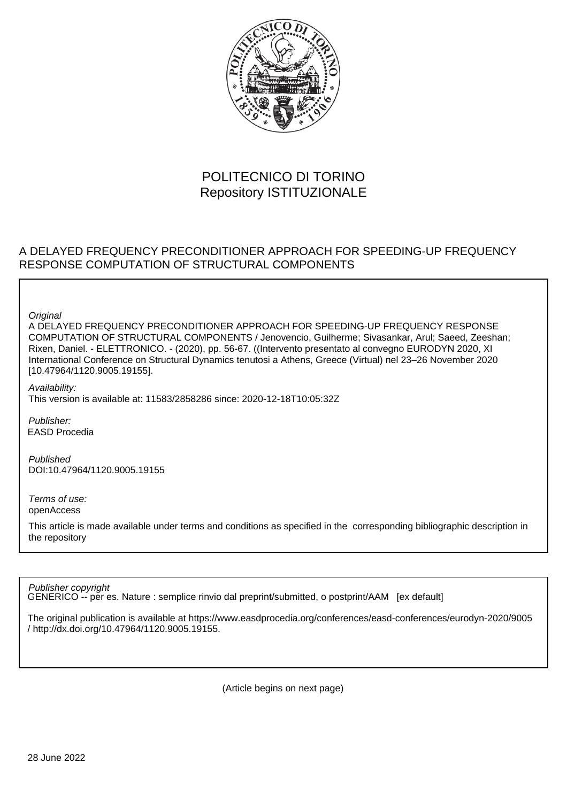

# POLITECNICO DI TORINO Repository ISTITUZIONALE

## A DELAYED FREQUENCY PRECONDITIONER APPROACH FOR SPEEDING-UP FREQUENCY RESPONSE COMPUTATION OF STRUCTURAL COMPONENTS

**Original** 

A DELAYED FREQUENCY PRECONDITIONER APPROACH FOR SPEEDING-UP FREQUENCY RESPONSE COMPUTATION OF STRUCTURAL COMPONENTS / Jenovencio, Guilherme; Sivasankar, Arul; Saeed, Zeeshan; Rixen, Daniel. - ELETTRONICO. - (2020), pp. 56-67. ((Intervento presentato al convegno EURODYN 2020, XI International Conference on Structural Dynamics tenutosi a Athens, Greece (Virtual) nel 23–26 November 2020 [10.47964/1120.9005.19155].

Availability: This version is available at: 11583/2858286 since: 2020-12-18T10:05:32Z

Publisher: EASD Procedia

Published DOI:10.47964/1120.9005.19155

Terms of use: openAccess

This article is made available under terms and conditions as specified in the corresponding bibliographic description in the repository

Publisher copyright

GENERICO -- per es. Nature : semplice rinvio dal preprint/submitted, o postprint/AAM [ex default]

The original publication is available at https://www.easdprocedia.org/conferences/easd-conferences/eurodyn-2020/9005 / http://dx.doi.org/10.47964/1120.9005.19155.

(Article begins on next page)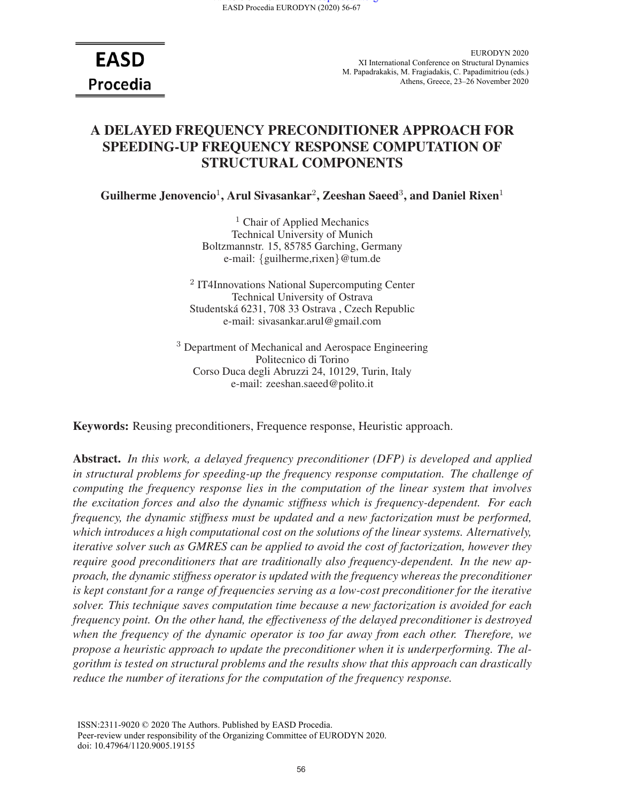**EASD** Procedia

EURODYN 2020 XI International Conference on Structural Dynamics M. Papadrakakis, M. Fragiadakis, C. Papadimitriou (eds.) Athens, Greece, 23–26 November 2020

## A DELAYED FREQUENCY PRECONDITIONER APPROACH FOR SPEEDING-UP FREQUENCY RESPONSE COMPUTATION OF STRUCTURAL COMPONENTS

Guilherme Jenovencio<sup>1</sup>, Arul Sivasankar<sup>2</sup>, Zeeshan Saeed<sup>3</sup>, and Daniel Rixen<sup>1</sup>

<sup>1</sup> Chair of Applied Mechanics Technical University of Munich Boltzmannstr. 15, 85785 Garching, Germany e-mail: {guilherme,rixen}@tum.de

<sup>2</sup> IT4Innovations National Supercomputing Center Technical University of Ostrava Studentska 6231, 708 33 Ostrava , Czech Republic ´ e-mail: sivasankar.arul@gmail.com

<sup>3</sup> Department of Mechanical and Aerospace Engineering Politecnico di Torino Corso Duca degli Abruzzi 24, 10129, Turin, Italy e-mail: zeeshan.saeed@polito.it

Keywords: Reusing preconditioners, Frequence response, Heuristic approach.

Abstract. *In this work, a delayed frequency preconditioner (DFP) is developed and applied in structural problems for speeding-up the frequency response computation. The challenge of computing the frequency response lies in the computation of the linear system that involves the excitation forces and also the dynamic stiffness which is frequency-dependent. For each frequency, the dynamic stiffness must be updated and a new factorization must be performed, which introduces a high computational cost on the solutions of the linear systems. Alternatively, iterative solver such as GMRES can be applied to avoid the cost of factorization, however they require good preconditioners that are traditionally also frequency-dependent. In the new approach, the dynamic stiffness operator is updated with the frequency whereas the preconditioner is kept constant for a range of frequencies serving as a low-cost preconditioner for the iterative solver. This technique saves computation time because a new factorization is avoided for each frequency point. On the other hand, the effectiveness of the delayed preconditioner is destroyed when the frequency of the dynamic operator is too far away from each other. Therefore, we propose a heuristic approach to update the preconditioner when it is underperforming. The algorithm is tested on structural problems and the results show that this approach can drastically reduce the number of iterations for the computation of the frequency response.*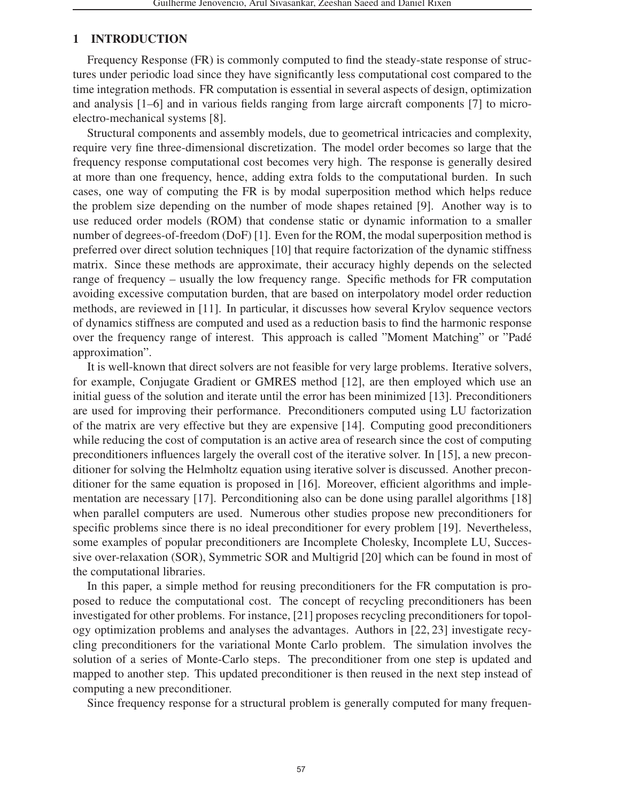## 1 INTRODUCTION

Frequency Response (FR) is commonly computed to find the steady-state response of structures under periodic load since they have significantly less computational cost compared to the time integration methods. FR computation is essential in several aspects of design, optimization and analysis [1–6] and in various fields ranging from large aircraft components [7] to microelectro-mechanical systems [8].

Structural components and assembly models, due to geometrical intricacies and complexity, require very fine three-dimensional discretization. The model order becomes so large that the frequency response computational cost becomes very high. The response is generally desired at more than one frequency, hence, adding extra folds to the computational burden. In such cases, one way of computing the FR is by modal superposition method which helps reduce the problem size depending on the number of mode shapes retained [9]. Another way is to use reduced order models (ROM) that condense static or dynamic information to a smaller number of degrees-of-freedom (DoF) [1]. Even for the ROM, the modal superposition method is preferred over direct solution techniques [10] that require factorization of the dynamic stiffness matrix. Since these methods are approximate, their accuracy highly depends on the selected range of frequency – usually the low frequency range. Specific methods for FR computation avoiding excessive computation burden, that are based on interpolatory model order reduction methods, are reviewed in [11]. In particular, it discusses how several Krylov sequence vectors of dynamics stiffness are computed and used as a reduction basis to find the harmonic response over the frequency range of interest. This approach is called "Moment Matching" or "Pade´ approximation".

It is well-known that direct solvers are not feasible for very large problems. Iterative solvers, for example, Conjugate Gradient or GMRES method [12], are then employed which use an initial guess of the solution and iterate until the error has been minimized [13]. Preconditioners are used for improving their performance. Preconditioners computed using LU factorization of the matrix are very effective but they are expensive [14]. Computing good preconditioners while reducing the cost of computation is an active area of research since the cost of computing preconditioners influences largely the overall cost of the iterative solver. In [15], a new preconditioner for solving the Helmholtz equation using iterative solver is discussed. Another preconditioner for the same equation is proposed in [16]. Moreover, efficient algorithms and implementation are necessary [17]. Perconditioning also can be done using parallel algorithms [18] when parallel computers are used. Numerous other studies propose new preconditioners for specific problems since there is no ideal preconditioner for every problem [19]. Nevertheless, some examples of popular preconditioners are Incomplete Cholesky, Incomplete LU, Successive over-relaxation (SOR), Symmetric SOR and Multigrid [20] which can be found in most of the computational libraries.

In this paper, a simple method for reusing preconditioners for the FR computation is proposed to reduce the computational cost. The concept of recycling preconditioners has been investigated for other problems. For instance, [21] proposes recycling preconditioners for topology optimization problems and analyses the advantages. Authors in [22, 23] investigate recycling preconditioners for the variational Monte Carlo problem. The simulation involves the solution of a series of Monte-Carlo steps. The preconditioner from one step is updated and mapped to another step. This updated preconditioner is then reused in the next step instead of computing a new preconditioner.

Since frequency response for a structural problem is generally computed for many frequen-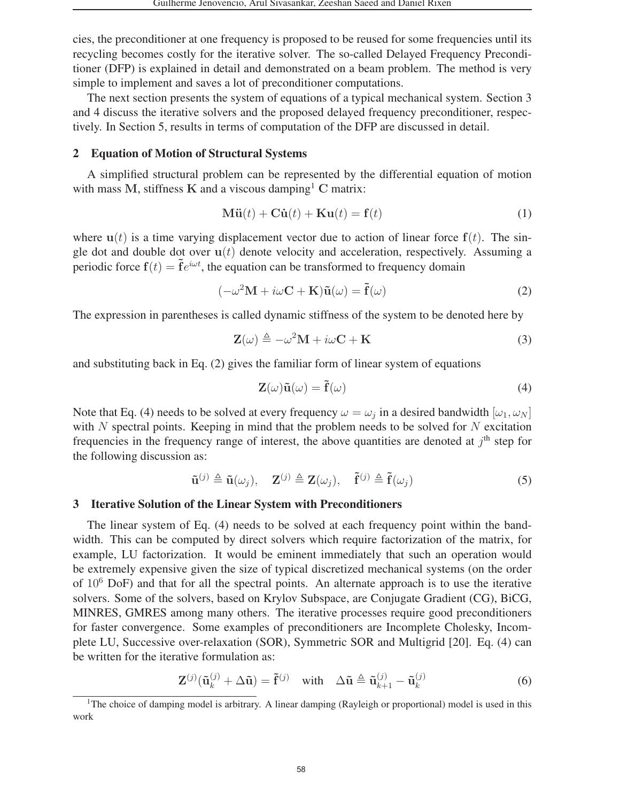cies, the preconditioner at one frequency is proposed to be reused for some frequencies until its recycling becomes costly for the iterative solver. The so-called Delayed Frequency Preconditioner (DFP) is explained in detail and demonstrated on a beam problem. The method is very simple to implement and saves a lot of preconditioner computations.

The next section presents the system of equations of a typical mechanical system. Section 3 and 4 discuss the iterative solvers and the proposed delayed frequency preconditioner, respectively. In Section 5, results in terms of computation of the DFP are discussed in detail.

#### 2 Equation of Motion of Structural Systems

A simplified structural problem can be represented by the differential equation of motion with mass M, stiffness K and a viscous damping<sup>1</sup> C matrix:

$$
\mathbf{M}\ddot{\mathbf{u}}(t) + \mathbf{C}\dot{\mathbf{u}}(t) + \mathbf{K}\mathbf{u}(t) = \mathbf{f}(t)
$$
 (1)

where  $u(t)$  is a time varying displacement vector due to action of linear force  $f(t)$ . The single dot and double dot over  $u(t)$  denote velocity and acceleration, respectively. Assuming a periodic force  $f(t) = \tilde{f}e^{i\omega t}$ , the equation can be transformed to frequency domain

$$
(-\omega^2 \mathbf{M} + i\omega \mathbf{C} + \mathbf{K})\tilde{\mathbf{u}}(\omega) = \tilde{\mathbf{f}}(\omega)
$$
 (2)

The expression in parentheses is called dynamic stiffness of the system to be denoted here by

$$
\mathbf{Z}(\omega) \triangleq -\omega^2 \mathbf{M} + i\omega \mathbf{C} + \mathbf{K}
$$
 (3)

and substituting back in Eq. (2) gives the familiar form of linear system of equations

$$
\mathbf{Z}(\omega)\tilde{\mathbf{u}}(\omega) = \tilde{\mathbf{f}}(\omega)
$$
 (4)

Note that Eq. (4) needs to be solved at every frequency  $\omega = \omega_i$  in a desired bandwidth  $[\omega_1, \omega_N]$ with  $N$  spectral points. Keeping in mind that the problem needs to be solved for  $N$  excitation frequencies in the frequency range of interest, the above quantities are denoted at  $i<sup>th</sup>$  step for the following discussion as:

$$
\tilde{\mathbf{u}}^{(j)} \triangleq \tilde{\mathbf{u}}(\omega_j), \quad \mathbf{Z}^{(j)} \triangleq \mathbf{Z}(\omega_j), \quad \tilde{\mathbf{f}}^{(j)} \triangleq \tilde{\mathbf{f}}(\omega_j)
$$
\n(5)

#### 3 Iterative Solution of the Linear System with Preconditioners

The linear system of Eq. (4) needs to be solved at each frequency point within the bandwidth. This can be computed by direct solvers which require factorization of the matrix, for example, LU factorization. It would be eminent immediately that such an operation would be extremely expensive given the size of typical discretized mechanical systems (on the order of  $10^6$  DoF) and that for all the spectral points. An alternate approach is to use the iterative solvers. Some of the solvers, based on Krylov Subspace, are Conjugate Gradient (CG), BiCG, MINRES, GMRES among many others. The iterative processes require good preconditioners for faster convergence. Some examples of preconditioners are Incomplete Cholesky, Incomplete LU, Successive over-relaxation (SOR), Symmetric SOR and Multigrid [20]. Eq. (4) can be written for the iterative formulation as:

$$
\mathbf{Z}^{(j)}(\tilde{\mathbf{u}}_k^{(j)} + \Delta \tilde{\mathbf{u}}) = \tilde{\mathbf{f}}^{(j)} \quad \text{with} \quad \Delta \tilde{\mathbf{u}} \triangleq \tilde{\mathbf{u}}_{k+1}^{(j)} - \tilde{\mathbf{u}}_k^{(j)}
$$
(6)

<sup>&</sup>lt;sup>1</sup>The choice of damping model is arbitrary. A linear damping (Rayleigh or proportional) model is used in this work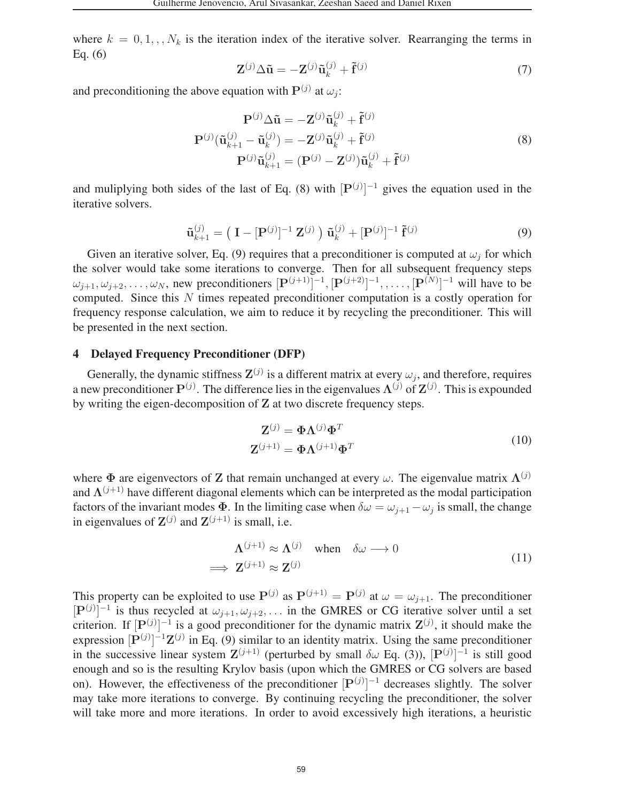where  $k = 0, 1, \ldots, N_k$  is the iteration index of the iterative solver. Rearranging the terms in Eq. (6)

$$
\mathbf{Z}^{(j)}\Delta\tilde{\mathbf{u}} = -\mathbf{Z}^{(j)}\tilde{\mathbf{u}}_k^{(j)} + \tilde{\mathbf{f}}^{(j)}
$$
(7)

and preconditioning the above equation with  $P^{(j)}$  at  $\omega_j$ :

$$
\mathbf{P}^{(j)}\Delta\tilde{\mathbf{u}} = -\mathbf{Z}^{(j)}\tilde{\mathbf{u}}_k^{(j)} + \tilde{\mathbf{f}}^{(j)}
$$

$$
\mathbf{P}^{(j)}(\tilde{\mathbf{u}}_{k+1}^{(j)} - \tilde{\mathbf{u}}_k^{(j)}) = -\mathbf{Z}^{(j)}\tilde{\mathbf{u}}_k^{(j)} + \tilde{\mathbf{f}}^{(j)}
$$

$$
\mathbf{P}^{(j)}\tilde{\mathbf{u}}_{k+1}^{(j)} = (\mathbf{P}^{(j)} - \mathbf{Z}^{(j)})\tilde{\mathbf{u}}_k^{(j)} + \tilde{\mathbf{f}}^{(j)}
$$
(8)

and muliplying both sides of the last of Eq. (8) with  $[P^{(j)}]^{-1}$  gives the equation used in the iterative solvers.

$$
\tilde{\mathbf{u}}_{k+1}^{(j)} = \left( \mathbf{I} - [\mathbf{P}^{(j)}]^{-1} \mathbf{Z}^{(j)} \right) \tilde{\mathbf{u}}_k^{(j)} + [\mathbf{P}^{(j)}]^{-1} \tilde{\mathbf{f}}^{(j)}
$$
(9)

Given an iterative solver, Eq. (9) requires that a preconditioner is computed at  $\omega_i$  for which the solver would take some iterations to converge. Then for all subsequent frequency steps  $\omega_{j+1}, \omega_{j+2}, \ldots, \omega_N$ , new preconditioners  $[\mathbf{P}^{(j+1)}]^{-1}, [\mathbf{P}^{(j+2)}]^{-1}, \ldots, [\mathbf{P}^{(N)}]^{-1}$  will have to be computed. Since this N times repeated preconditioner computation is a costly operation for frequency response calculation, we aim to reduce it by recycling the preconditioner. This will be presented in the next section.

#### 4 Delayed Frequency Preconditioner (DFP)

Generally, the dynamic stiffness  $\mathbf{Z}^{(j)}$  is a different matrix at every  $\omega_j$ , and therefore, requires a new preconditioner  $P^{(j)}$ . The difference lies in the eigenvalues  $\Lambda^{(j)}$  of  $Z^{(j)}$ . This is expounded by writing the eigen-decomposition of **Z** at two discrete frequency steps.

$$
\mathbf{Z}^{(j)} = \mathbf{\Phi} \mathbf{\Lambda}^{(j)} \mathbf{\Phi}^T
$$
  

$$
\mathbf{Z}^{(j+1)} = \mathbf{\Phi} \mathbf{\Lambda}^{(j+1)} \mathbf{\Phi}^T
$$
 (10)

where  $\Phi$  are eigenvectors of **Z** that remain unchanged at every  $\omega$ . The eigenvalue matrix  $\Lambda^{(j)}$ and  $\Lambda^{(j+1)}$  have different diagonal elements which can be interpreted as the modal participation factors of the invariant modes  $\Phi$ . In the limiting case when  $\delta \omega = \omega_{i+1} - \omega_i$  is small, the change in eigenvalues of  $\mathbf{Z}^{(j)}$  and  $\mathbf{Z}^{(j+1)}$  is small, i.e.

$$
\Lambda^{(j+1)} \approx \Lambda^{(j)} \quad \text{when} \quad \delta\omega \longrightarrow 0
$$
  

$$
\implies \mathbf{Z}^{(j+1)} \approx \mathbf{Z}^{(j)}
$$
 (11)

This property can be exploited to use  $P^{(j)}$  as  $P^{(j+1)} = P^{(j)}$  at  $\omega = \omega_{j+1}$ . The preconditioner  $[P^{(j)}]^{-1}$  is thus recycled at  $\omega_{j+1}, \omega_{j+2},...$  in the GMRES or CG iterative solver until a set criterion. If  $[P^{(j)}]^{-1}$  is a good preconditioner for the dynamic matrix  $\mathbf{Z}^{(j)}$ , it should make the expression  $[P^{(j)}]^{-1}\mathbf{Z}^{(j)}$  in Eq. (9) similar to an identity matrix. Using the same preconditioner in the successive linear system  $\mathbf{Z}^{(j+1)}$  (perturbed by small  $\delta\omega$  Eq. (3)),  $[\mathbf{P}^{(j)}]^{-1}$  is still good enough and so is the resulting Krylov basis (upon which the GMRES or CG solvers are based on). However, the effectiveness of the preconditioner  $[P^{(j)}]^{-1}$  decreases slightly. The solver may take more iterations to converge. By continuing recycling the preconditioner, the solver will take more and more iterations. In order to avoid excessively high iterations, a heuristic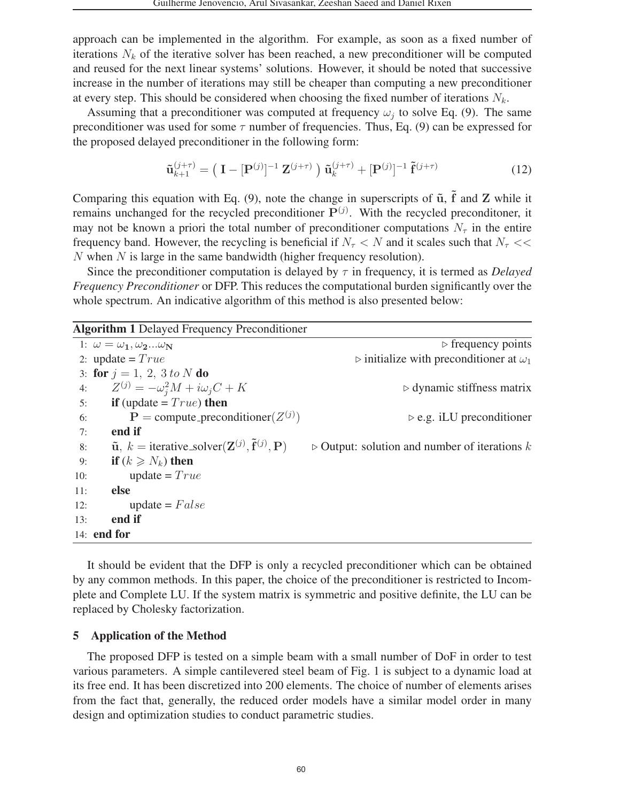approach can be implemented in the algorithm. For example, as soon as a fixed number of iterations  $N_k$  of the iterative solver has been reached, a new preconditioner will be computed and reused for the next linear systems' solutions. However, it should be noted that successive increase in the number of iterations may still be cheaper than computing a new preconditioner at every step. This should be considered when choosing the fixed number of iterations N*k*.

Assuming that a preconditioner was computed at frequency  $\omega_i$  to solve Eq. (9). The same preconditioner was used for some  $\tau$  number of frequencies. Thus, Eq. (9) can be expressed for the proposed delayed preconditioner in the following form:

$$
\tilde{\mathbf{u}}_{k+1}^{(j+\tau)} = \left( \mathbf{I} - [\mathbf{P}^{(j)}]^{-1} \mathbf{Z}^{(j+\tau)} \right) \tilde{\mathbf{u}}_k^{(j+\tau)} + [\mathbf{P}^{(j)}]^{-1} \tilde{\mathbf{f}}^{(j+\tau)} \tag{12}
$$

Comparing this equation with Eq.  $(9)$ , note the change in superscripts of  $\tilde{u}$ ,  $\tilde{f}$  and  $Z$  while it remains unchanged for the recycled preconditioner **P**(*j*) . With the recycled preconditoner, it may not be known a priori the total number of preconditioner computations  $N_\tau$  in the entire frequency band. However, the recycling is beneficial if  $N_\tau < N$  and it scales such that  $N_\tau <$ N when N is large in the same bandwidth (higher frequency resolution).

Since the preconditioner computation is delayed by τ in frequency, it is termed as *Delayed Frequency Preconditioner* or DFP. This reduces the computational burden significantly over the whole spectrum. An indicative algorithm of this method is also presented below:

|             | <b>Algorithm 1 Delayed Frequency Preconditioner</b>                                                        |                                                               |
|-------------|------------------------------------------------------------------------------------------------------------|---------------------------------------------------------------|
|             | 1: $\omega = \omega_1, \omega_2\omega_N$                                                                   | $\triangleright$ frequency points                             |
|             | 2: update = $True$                                                                                         | $\triangleright$ initialize with preconditioner at $\omega_1$ |
|             | 3: for $j = 1, 2, 3 to N$ do                                                                               |                                                               |
| 4:          | $Z^{(j)} = -\omega_i^2 M + i\omega_j C + K$                                                                | $\triangleright$ dynamic stiffness matrix                     |
| 5:          | <b>if</b> (update = $True$ ) then                                                                          |                                                               |
| 6:          | ${\bf P}$ = compute_preconditioner( $Z^{(j)}$ )                                                            | $\triangleright$ e.g. iLU preconditioner                      |
| 7:          | end if                                                                                                     |                                                               |
| 8:          | $\tilde{\mathbf{u}}, k = \text{iterative\_solver}(\mathbf{Z}^{(j)}, \tilde{\mathbf{f}}^{(j)}, \mathbf{P})$ | $\triangleright$ Output: solution and number of iterations k  |
| 9:          | <b>if</b> $(k \geq N_k)$ then                                                                              |                                                               |
| 10:         | update = $True$                                                                                            |                                                               |
| 11:         | else                                                                                                       |                                                               |
| 12:         | $update = False$                                                                                           |                                                               |
| 13:         | end if                                                                                                     |                                                               |
| 14: end for |                                                                                                            |                                                               |

It should be evident that the DFP is only a recycled preconditioner which can be obtained by any common methods. In this paper, the choice of the preconditioner is restricted to Incomplete and Complete LU. If the system matrix is symmetric and positive definite, the LU can be replaced by Cholesky factorization.

## 5 Application of the Method

The proposed DFP is tested on a simple beam with a small number of DoF in order to test various parameters. A simple cantilevered steel beam of Fig. 1 is subject to a dynamic load at its free end. It has been discretized into 200 elements. The choice of number of elements arises from the fact that, generally, the reduced order models have a similar model order in many design and optimization studies to conduct parametric studies.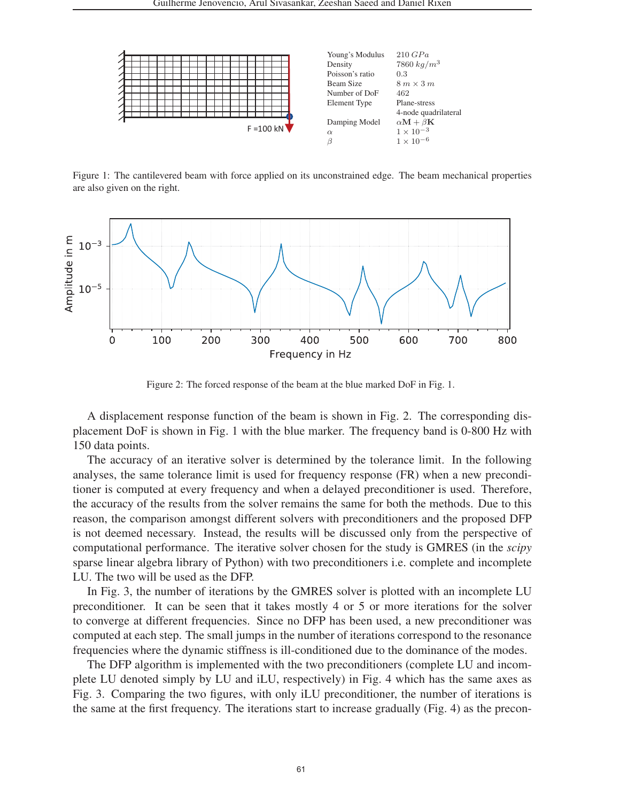

Figure 1: The cantilevered beam with force applied on its unconstrained edge. The beam mechanical properties are also given on the right.



Figure 2: The forced response of the beam at the blue marked DoF in Fig. 1.

A displacement response function of the beam is shown in Fig. 2. The corresponding displacement DoF is shown in Fig. 1 with the blue marker. The frequency band is 0-800 Hz with 150 data points.

The accuracy of an iterative solver is determined by the tolerance limit. In the following analyses, the same tolerance limit is used for frequency response (FR) when a new preconditioner is computed at every frequency and when a delayed preconditioner is used. Therefore, the accuracy of the results from the solver remains the same for both the methods. Due to this reason, the comparison amongst different solvers with preconditioners and the proposed DFP is not deemed necessary. Instead, the results will be discussed only from the perspective of computational performance. The iterative solver chosen for the study is GMRES (in the *scipy* sparse linear algebra library of Python) with two preconditioners i.e. complete and incomplete LU. The two will be used as the DFP.

In Fig. 3, the number of iterations by the GMRES solver is plotted with an incomplete LU preconditioner. It can be seen that it takes mostly 4 or 5 or more iterations for the solver to converge at different frequencies. Since no DFP has been used, a new preconditioner was computed at each step. The small jumps in the number of iterations correspond to the resonance frequencies where the dynamic stiffness is ill-conditioned due to the dominance of the modes.

The DFP algorithm is implemented with the two preconditioners (complete LU and incomplete LU denoted simply by LU and iLU, respectively) in Fig. 4 which has the same axes as Fig. 3. Comparing the two figures, with only iLU preconditioner, the number of iterations is the same at the first frequency. The iterations start to increase gradually (Fig. 4) as the precon-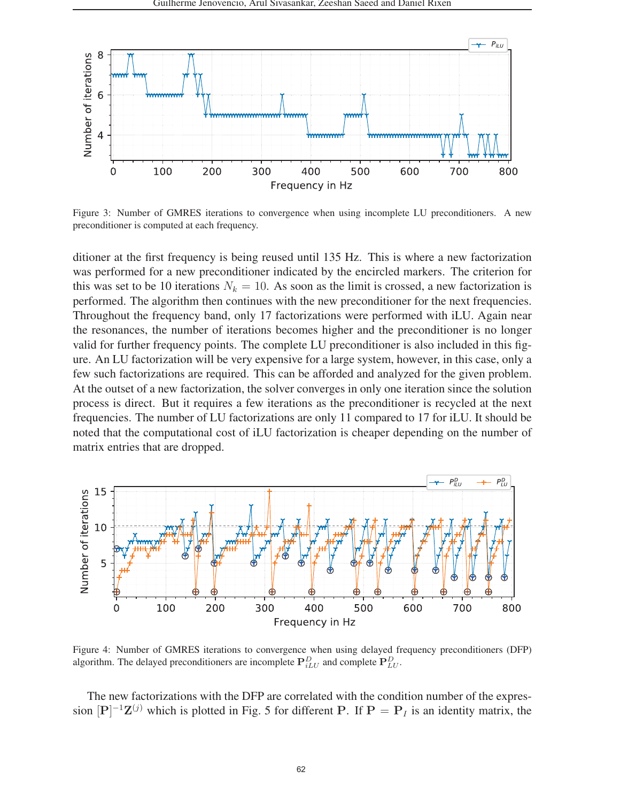

Figure 3: Number of GMRES iterations to convergence when using incomplete LU preconditioners. A new preconditioner is computed at each frequency.

ditioner at the first frequency is being reused until 135 Hz. This is where a new factorization was performed for a new preconditioner indicated by the encircled markers. The criterion for this was set to be 10 iterations  $N_k = 10$ . As soon as the limit is crossed, a new factorization is performed. The algorithm then continues with the new preconditioner for the next frequencies. Throughout the frequency band, only 17 factorizations were performed with iLU. Again near the resonances, the number of iterations becomes higher and the preconditioner is no longer valid for further frequency points. The complete LU preconditioner is also included in this figure. An LU factorization will be very expensive for a large system, however, in this case, only a few such factorizations are required. This can be afforded and analyzed for the given problem. At the outset of a new factorization, the solver converges in only one iteration since the solution process is direct. But it requires a few iterations as the preconditioner is recycled at the next frequencies. The number of LU factorizations are only 11 compared to 17 for iLU. It should be noted that the computational cost of iLU factorization is cheaper depending on the number of matrix entries that are dropped.



Figure 4: Number of GMRES iterations to convergence when using delayed frequency preconditioners (DFP) algorithm. The delayed preconditioners are incomplete  $\mathbf{P}_{iLU}^D$  and complete  $\mathbf{P}_{LU}^D$ .

The new factorizations with the DFP are correlated with the condition number of the expression  $[P]^{-1}\mathbf{Z}^{(j)}$  which is plotted in Fig. 5 for different **P**. If  $P = P_I$  is an identity matrix, the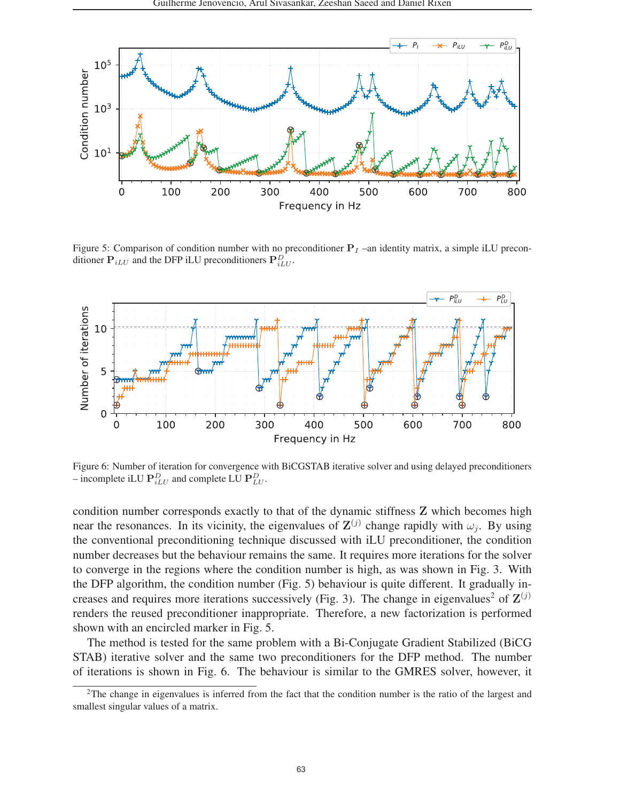

Figure 5: Comparison of condition number with no preconditioner  $P<sub>I</sub>$  –an identity matrix, a simple iLU preconditioner  $P_{iLU}$  and the DFP iLU preconditioners  $P_{iLU}^D$ .



Figure 6: Number of iteration for convergence with BiCGSTAB iterative solver and using delayed preconditioners  $\overline{\phantom{a}}$  = incomplete iLU  $\mathbf{P}_{iLU}^D$  and complete LU  $\mathbf{P}_{LU}^D$ .

condition number corresponds exactly to that of the dynamic stiffness **Z** which becomes high near the resonances. In its vicinity, the eigenvalues of  $\mathbf{Z}^{(j)}$  change rapidly with  $\omega_j$ . By using the conventional preconditioning technique discussed with iLU preconditioner, the condition number decreases but the behaviour remains the same. It requires more iterations for the solver to converge in the regions where the condition number is high, as was shown in Fig. 3. With the DFP algorithm, the condition number (Fig. 5) behaviour is quite different. It gradually increases and requires more iterations successively (Fig. 3). The change in eigenvalues<sup>2</sup> of  $\mathbf{Z}^{(j)}$ renders the reused preconditioner inappropriate. Therefore, a new factorization is performed shown with an encircled marker in Fig. 5.

The method is tested for the same problem with a Bi-Conjugate Gradient Stabilized (BiCG STAB) iterative solver and the same two preconditioners for the DFP method. The number of iterations is shown in Fig. 6. The behaviour is similar to the GMRES solver, however, it

<sup>2</sup>The change in eigenvalues is inferred from the fact that the condition number is the ratio of the largest and smallest singular values of a matrix.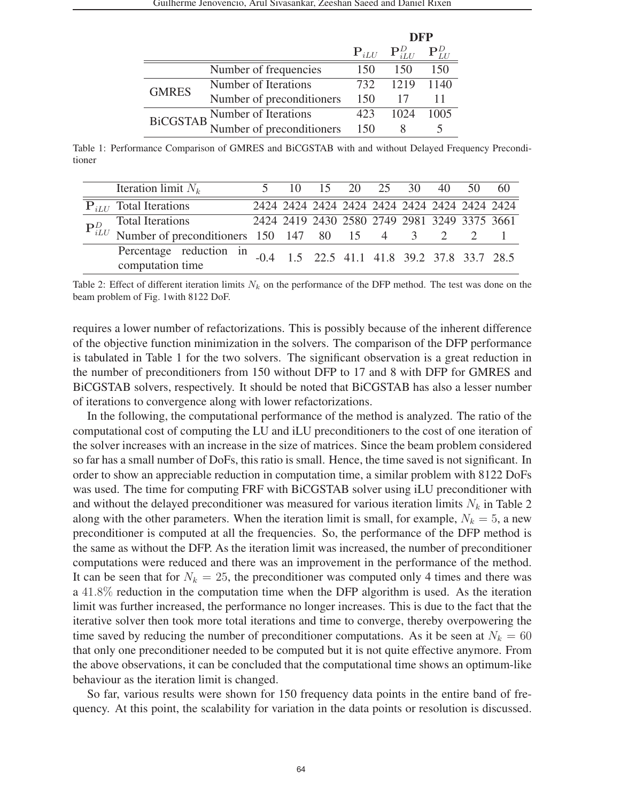|                       |                           |                                    | <b>DFP</b> |      |  |
|-----------------------|---------------------------|------------------------------------|------------|------|--|
|                       |                           | ${\bf P}_{iLU}$ ${\bf P}_{iIII}^D$ |            |      |  |
|                       | Number of frequencies     | 150                                | 150        | 150  |  |
| <b>GMRES</b>          | Number of Iterations      | 732                                | 1219       | 1140 |  |
|                       | Number of preconditioners | 150                                |            |      |  |
| BiCGSTAB <sup>1</sup> | Number of Iterations      | 423                                | 1024       | 1005 |  |
|                       | Number of preconditioners | 150                                |            |      |  |

Table 1: Performance Comparison of GMRES and BiCGSTAB with and without Delayed Frequency Preconditioner

|  | Iteration limit $N_k$                                                             |                                               |  |  | 5 10 15 20 25 30 40                          | $50\quad 60$ |  |
|--|-----------------------------------------------------------------------------------|-----------------------------------------------|--|--|----------------------------------------------|--------------|--|
|  | $P_{iLI}$ Total Iterations                                                        |                                               |  |  | 2424 2424 2424 2424 2424 2424 2424 2424 2424 |              |  |
|  | <b>Total Iterations</b>                                                           | 2424 2419 2430 2580 2749 2981 3249 3375 3661  |  |  |                                              |              |  |
|  | $P_{iLU}^D$ Total Iterations<br>Number of preconditioners 150 147 80 15 4 3 2 2 1 |                                               |  |  |                                              |              |  |
|  | Percentage reduction in<br>computation time                                       | $-0.4$ 1.5 22.5 41.1 41.8 39.2 37.8 33.7 28.5 |  |  |                                              |              |  |

Table 2: Effect of different iteration limits  $N_k$  on the performance of the DFP method. The test was done on the beam problem of Fig. 1with 8122 DoF.

requires a lower number of refactorizations. This is possibly because of the inherent difference of the objective function minimization in the solvers. The comparison of the DFP performance is tabulated in Table 1 for the two solvers. The significant observation is a great reduction in the number of preconditioners from 150 without DFP to 17 and 8 with DFP for GMRES and BiCGSTAB solvers, respectively. It should be noted that BiCGSTAB has also a lesser number of iterations to convergence along with lower refactorizations.

In the following, the computational performance of the method is analyzed. The ratio of the computational cost of computing the LU and iLU preconditioners to the cost of one iteration of the solver increases with an increase in the size of matrices. Since the beam problem considered so far has a small number of DoFs, this ratio is small. Hence, the time saved is not significant. In order to show an appreciable reduction in computation time, a similar problem with 8122 DoFs was used. The time for computing FRF with BiCGSTAB solver using iLU preconditioner with and without the delayed preconditioner was measured for various iteration limits N*<sup>k</sup>* in Table 2 along with the other parameters. When the iteration limit is small, for example,  $N_k = 5$ , a new preconditioner is computed at all the frequencies. So, the performance of the DFP method is the same as without the DFP. As the iteration limit was increased, the number of preconditioner computations were reduced and there was an improvement in the performance of the method. It can be seen that for  $N_k = 25$ , the preconditioner was computed only 4 times and there was a 41.8% reduction in the computation time when the DFP algorithm is used. As the iteration limit was further increased, the performance no longer increases. This is due to the fact that the iterative solver then took more total iterations and time to converge, thereby overpowering the time saved by reducing the number of preconditioner computations. As it be seen at  $N_k = 60$ that only one preconditioner needed to be computed but it is not quite effective anymore. From the above observations, it can be concluded that the computational time shows an optimum-like behaviour as the iteration limit is changed.

So far, various results were shown for 150 frequency data points in the entire band of frequency. At this point, the scalability for variation in the data points or resolution is discussed.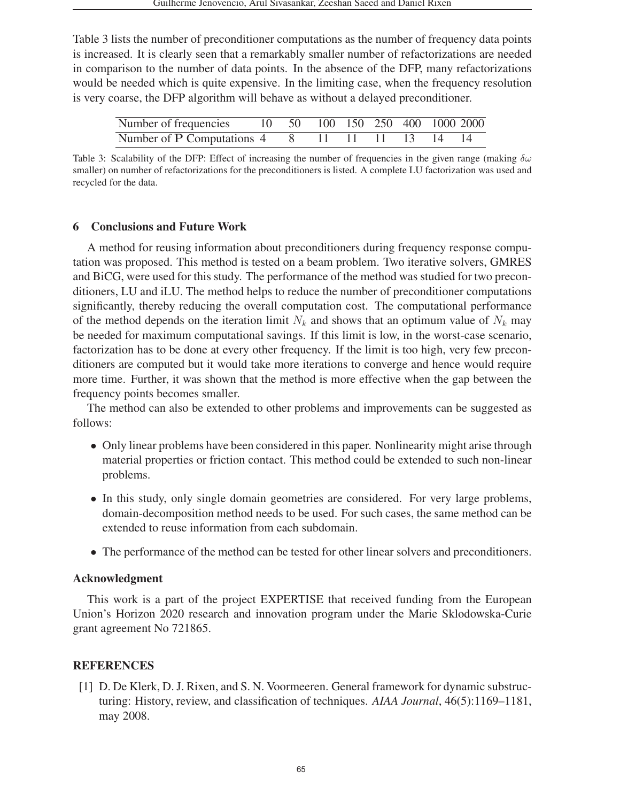Table 3 lists the number of preconditioner computations as the number of frequency data points is increased. It is clearly seen that a remarkably smaller number of refactorizations are needed in comparison to the number of data points. In the absence of the DFP, many refactorizations would be needed which is quite expensive. In the limiting case, when the frequency resolution is very coarse, the DFP algorithm will behave as without a delayed preconditioner.

| Number of frequencies                          |  |  |  | 10 50 100 150 250 400 1000 2000 |
|------------------------------------------------|--|--|--|---------------------------------|
| Number of P Computations 4 8 11 11 11 13 14 14 |  |  |  |                                 |

Table 3: Scalability of the DFP: Effect of increasing the number of frequencies in the given range (making  $\delta\omega$ smaller) on number of refactorizations for the preconditioners is listed. A complete LU factorization was used and recycled for the data.

## 6 Conclusions and Future Work

A method for reusing information about preconditioners during frequency response computation was proposed. This method is tested on a beam problem. Two iterative solvers, GMRES and BiCG, were used for this study. The performance of the method was studied for two preconditioners, LU and iLU. The method helps to reduce the number of preconditioner computations significantly, thereby reducing the overall computation cost. The computational performance of the method depends on the iteration limit  $N_k$  and shows that an optimum value of  $N_k$  may be needed for maximum computational savings. If this limit is low, in the worst-case scenario, factorization has to be done at every other frequency. If the limit is too high, very few preconditioners are computed but it would take more iterations to converge and hence would require more time. Further, it was shown that the method is more effective when the gap between the frequency points becomes smaller.

The method can also be extended to other problems and improvements can be suggested as follows:

- Only linear problems have been considered in this paper. Nonlinearity might arise through material properties or friction contact. This method could be extended to such non-linear problems.
- In this study, only single domain geometries are considered. For very large problems, domain-decomposition method needs to be used. For such cases, the same method can be extended to reuse information from each subdomain.
- The performance of the method can be tested for other linear solvers and preconditioners.

## Acknowledgment

This work is a part of the project EXPERTISE that received funding from the European Union's Horizon 2020 research and innovation program under the Marie Sklodowska-Curie grant agreement No 721865.

## REFERENCES

[1] D. De Klerk, D. J. Rixen, and S. N. Voormeeren. General framework for dynamic substructuring: History, review, and classification of techniques. *AIAA Journal*, 46(5):1169–1181, may 2008.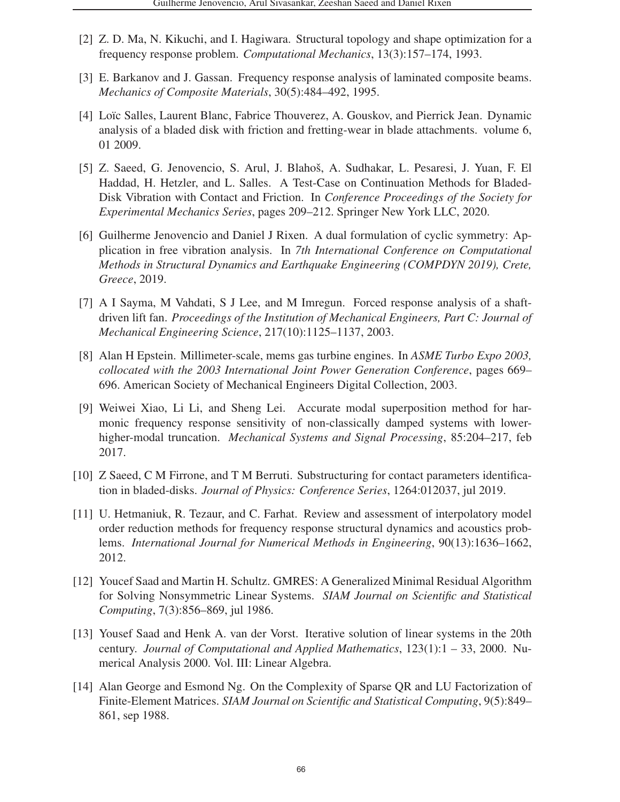- [2] Z. D. Ma, N. Kikuchi, and I. Hagiwara. Structural topology and shape optimization for a frequency response problem. *Computational Mechanics*, 13(3):157–174, 1993.
- [3] E. Barkanov and J. Gassan. Frequency response analysis of laminated composite beams. *Mechanics of Composite Materials*, 30(5):484–492, 1995.
- [4] Loïc Salles, Laurent Blanc, Fabrice Thouverez, A. Gouskov, and Pierrick Jean. Dynamic analysis of a bladed disk with friction and fretting-wear in blade attachments. volume 6, 01 2009.
- [5] Z. Saeed, G. Jenovencio, S. Arul, J. Blahoš, A. Sudhakar, L. Pesaresi, J. Yuan, F. El Haddad, H. Hetzler, and L. Salles. A Test-Case on Continuation Methods for Bladed-Disk Vibration with Contact and Friction. In *Conference Proceedings of the Society for Experimental Mechanics Series*, pages 209–212. Springer New York LLC, 2020.
- [6] Guilherme Jenovencio and Daniel J Rixen. A dual formulation of cyclic symmetry: Application in free vibration analysis. In *7th International Conference on Computational Methods in Structural Dynamics and Earthquake Engineering (COMPDYN 2019), Crete, Greece*, 2019.
- [7] A I Sayma, M Vahdati, S J Lee, and M Imregun. Forced response analysis of a shaftdriven lift fan. *Proceedings of the Institution of Mechanical Engineers, Part C: Journal of Mechanical Engineering Science*, 217(10):1125–1137, 2003.
- [8] Alan H Epstein. Millimeter-scale, mems gas turbine engines. In *ASME Turbo Expo 2003, collocated with the 2003 International Joint Power Generation Conference*, pages 669– 696. American Society of Mechanical Engineers Digital Collection, 2003.
- [9] Weiwei Xiao, Li Li, and Sheng Lei. Accurate modal superposition method for harmonic frequency response sensitivity of non-classically damped systems with lowerhigher-modal truncation. *Mechanical Systems and Signal Processing*, 85:204–217, feb 2017.
- [10] Z Saeed, C M Firrone, and T M Berruti. Substructuring for contact parameters identification in bladed-disks. *Journal of Physics: Conference Series*, 1264:012037, jul 2019.
- [11] U. Hetmaniuk, R. Tezaur, and C. Farhat. Review and assessment of interpolatory model order reduction methods for frequency response structural dynamics and acoustics problems. *International Journal for Numerical Methods in Engineering*, 90(13):1636–1662, 2012.
- [12] Youcef Saad and Martin H. Schultz. GMRES: A Generalized Minimal Residual Algorithm for Solving Nonsymmetric Linear Systems. *SIAM Journal on Scientific and Statistical Computing*, 7(3):856–869, jul 1986.
- [13] Yousef Saad and Henk A. van der Vorst. Iterative solution of linear systems in the 20th century. *Journal of Computational and Applied Mathematics*, 123(1):1 – 33, 2000. Numerical Analysis 2000. Vol. III: Linear Algebra.
- [14] Alan George and Esmond Ng. On the Complexity of Sparse QR and LU Factorization of Finite-Element Matrices. *SIAM Journal on Scientific and Statistical Computing*, 9(5):849– 861, sep 1988.